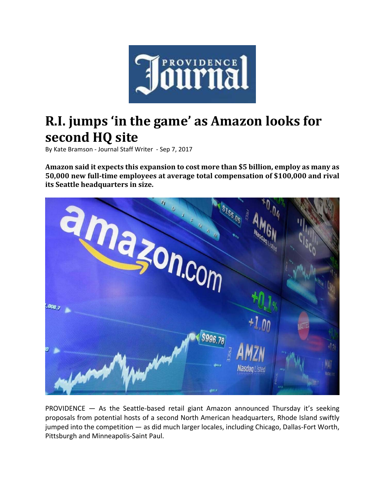

## **R.I. jumps 'in the game' as Amazon looks for second HQ site**

By Kate Bramson ‐ Journal Staff Writer ‐ Sep 7, 2017

**Amazon said it expects this expansion to cost more than \$5 billion, employ as many as 50,000 new full‐time employees at average total compensation of \$100,000 and rival its Seattle headquarters in size.**



PROVIDENCE — As the Seattle‐based retail giant Amazon announced Thursday it's seeking proposals from potential hosts of a second North American headquarters, Rhode Island swiftly jumped into the competition — as did much larger locales, including Chicago, Dallas‐Fort Worth, Pittsburgh and Minneapolis‐Saint Paul.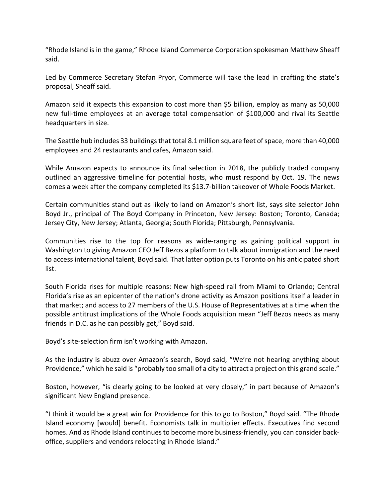"Rhode Island is in the game," Rhode Island Commerce Corporation spokesman Matthew Sheaff said.

Led by Commerce Secretary Stefan Pryor, Commerce will take the lead in crafting the state's proposal, Sheaff said.

Amazon said it expects this expansion to cost more than \$5 billion, employ as many as 50,000 new full-time employees at an average total compensation of \$100,000 and rival its Seattle headquarters in size.

The Seattle hub includes 33 buildings that total 8.1 million square feet of space, more than 40,000 employees and 24 restaurants and cafes, Amazon said.

While Amazon expects to announce its final selection in 2018, the publicly traded company outlined an aggressive timeline for potential hosts, who must respond by Oct. 19. The news comes a week after the company completed its \$13.7‐billion takeover of Whole Foods Market.

Certain communities stand out as likely to land on Amazon's short list, says site selector John Boyd Jr., principal of The Boyd Company in Princeton, New Jersey: Boston; Toronto, Canada; Jersey City, New Jersey; Atlanta, Georgia; South Florida; Pittsburgh, Pennsylvania.

Communities rise to the top for reasons as wide‐ranging as gaining political support in Washington to giving Amazon CEO Jeff Bezos a platform to talk about immigration and the need to access international talent, Boyd said. That latter option puts Toronto on his anticipated short list.

South Florida rises for multiple reasons: New high‐speed rail from Miami to Orlando; Central Florida's rise as an epicenter of the nation's drone activity as Amazon positions itself a leader in that market; and access to 27 members of the U.S. House of Representatives at a time when the possible antitrust implications of the Whole Foods acquisition mean "Jeff Bezos needs as many friends in D.C. as he can possibly get," Boyd said.

Boyd's site‐selection firm isn't working with Amazon.

As the industry is abuzz over Amazon's search, Boyd said, "We're not hearing anything about Providence," which he said is "probably too small of a city to attract a project on this grand scale."

Boston, however, "is clearly going to be looked at very closely," in part because of Amazon's significant New England presence.

"I think it would be a great win for Providence for this to go to Boston," Boyd said. "The Rhode Island economy [would] benefit. Economists talk in multiplier effects. Executives find second homes. And as Rhode Island continues to become more business-friendly, you can consider backoffice, suppliers and vendors relocating in Rhode Island."